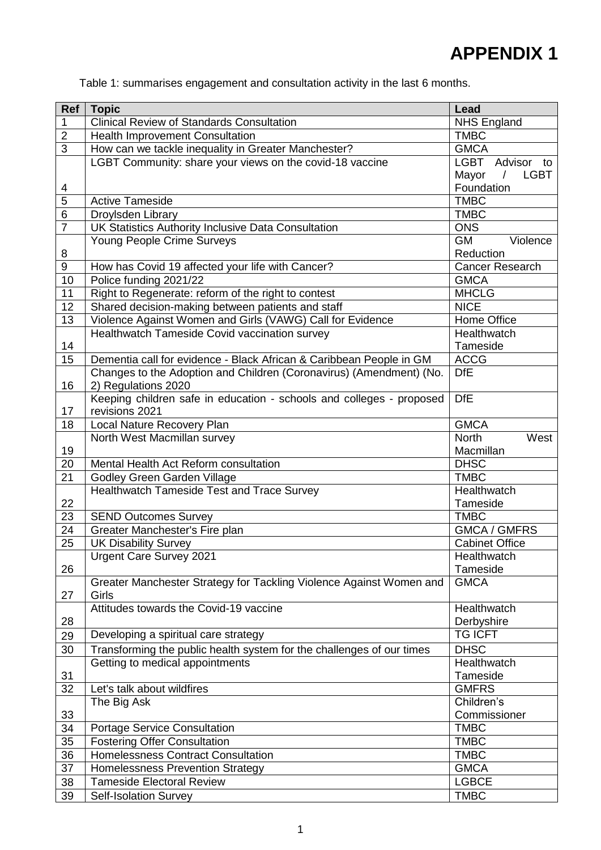| <b>Ref</b>      | <b>Topic</b>                                                          | Lead                               |
|-----------------|-----------------------------------------------------------------------|------------------------------------|
| 1               | <b>Clinical Review of Standards Consultation</b>                      | <b>NHS England</b>                 |
| $\overline{2}$  | <b>Health Improvement Consultation</b>                                | <b>TMBC</b>                        |
| $\overline{3}$  | How can we tackle inequality in Greater Manchester?                   | <b>GMCA</b>                        |
|                 | LGBT Community: share your views on the covid-18 vaccine              | LGBT Advisor to                    |
|                 |                                                                       | Mayor<br>$\sqrt{2}$<br><b>LGBT</b> |
| 4               |                                                                       | Foundation                         |
| $\overline{5}$  | <b>Active Tameside</b>                                                | <b>TMBC</b>                        |
| 6               | Droylsden Library                                                     | <b>TMBC</b>                        |
| $\overline{7}$  | UK Statistics Authority Inclusive Data Consultation                   | <b>ONS</b>                         |
|                 | Young People Crime Surveys                                            | <b>GM</b><br>Violence              |
| 8               |                                                                       | Reduction                          |
| $\overline{9}$  | How has Covid 19 affected your life with Cancer?                      | <b>Cancer Research</b>             |
| 10              | Police funding 2021/22                                                | <b>GMCA</b>                        |
| 11              | Right to Regenerate: reform of the right to contest                   | <b>MHCLG</b>                       |
| 12              | Shared decision-making between patients and staff                     | <b>NICE</b>                        |
| 13              | Violence Against Women and Girls (VAWG) Call for Evidence             | Home Office                        |
|                 | Healthwatch Tameside Covid vaccination survey                         | Healthwatch                        |
| 14              |                                                                       | Tameside                           |
| 15              | Dementia call for evidence - Black African & Caribbean People in GM   | <b>ACCG</b>                        |
|                 | Changes to the Adoption and Children (Coronavirus) (Amendment) (No.   | <b>DfE</b>                         |
| 16              | 2) Regulations 2020                                                   |                                    |
|                 | Keeping children safe in education - schools and colleges - proposed  | <b>DfE</b>                         |
| 17              | revisions 2021                                                        |                                    |
| 18              | Local Nature Recovery Plan                                            | <b>GMCA</b>                        |
|                 | North West Macmillan survey                                           | <b>North</b><br>West               |
| 19              |                                                                       | Macmillan                          |
| 20              | Mental Health Act Reform consultation                                 | <b>DHSC</b>                        |
| $\overline{21}$ | Godley Green Garden Village                                           | <b>TMBC</b>                        |
|                 | Healthwatch Tameside Test and Trace Survey                            | Healthwatch                        |
| 22              |                                                                       | Tameside                           |
| $\overline{23}$ | <b>SEND Outcomes Survey</b>                                           | <b>TMBC</b>                        |
| 24              | Greater Manchester's Fire plan                                        | <b>GMCA / GMFRS</b>                |
| 25              | <b>UK Disability Survey</b>                                           | <b>Cabinet Office</b>              |
|                 | <b>Urgent Care Survey 2021</b>                                        | Healthwatch                        |
| 26              |                                                                       | Tameside                           |
|                 | Greater Manchester Strategy for Tackling Violence Against Women and   | <b>GMCA</b>                        |
| 27              | Girls<br>Attitudes towards the Covid-19 vaccine                       | <b>Healthwatch</b>                 |
| 28              |                                                                       | Derbyshire                         |
|                 | Developing a spiritual care strategy                                  | <b>TG ICFT</b>                     |
| 29              |                                                                       |                                    |
| 30              | Transforming the public health system for the challenges of our times | <b>DHSC</b>                        |
|                 | Getting to medical appointments                                       | Healthwatch                        |
| 31              |                                                                       | Tameside                           |
| 32              | Let's talk about wildfires                                            | <b>GMFRS</b>                       |
|                 | The Big Ask                                                           | Children's                         |
| <b>33</b>       |                                                                       | Commissioner                       |
| 34              | <b>Portage Service Consultation</b>                                   | <b>TMBC</b>                        |
| 35              | <b>Fostering Offer Consultation</b>                                   | <b>TMBC</b>                        |
| 36              | <b>Homelessness Contract Consultation</b>                             | <b>TMBC</b>                        |
| 37              | <b>Homelessness Prevention Strategy</b>                               | <b>GMCA</b>                        |
| 38              | <b>Tameside Electoral Review</b>                                      | <b>LGBCE</b>                       |
| 39              | <b>Self-Isolation Survey</b>                                          | <b>TMBC</b>                        |

Table 1: summarises engagement and consultation activity in the last 6 months.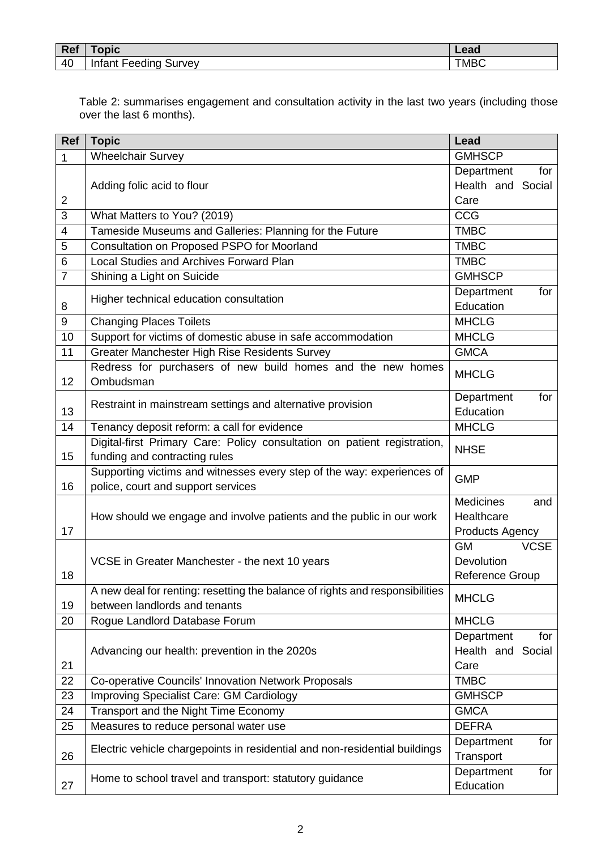| <b>Ref</b> | ppic                        | 02C<br>-cau |
|------------|-----------------------------|-------------|
| 40         | 5urve∨<br>Infant<br>-eedina | <b>TMBC</b> |

Table 2: summarises engagement and consultation activity in the last two years (including those over the last 6 months).

| Ref            | <b>Topic</b>                                                                                                  | Lead                           |
|----------------|---------------------------------------------------------------------------------------------------------------|--------------------------------|
| $\mathbf 1$    | <b>Wheelchair Survey</b>                                                                                      | <b>GMHSCP</b>                  |
|                |                                                                                                               | Department<br>for              |
|                | Adding folic acid to flour                                                                                    | Health and Social              |
| $\overline{2}$ |                                                                                                               | Care                           |
| $\overline{3}$ | What Matters to You? (2019)                                                                                   | <b>CCG</b>                     |
| $\overline{4}$ | Tameside Museums and Galleries: Planning for the Future                                                       | <b>TMBC</b>                    |
| 5              | <b>Consultation on Proposed PSPO for Moorland</b>                                                             | <b>TMBC</b>                    |
| 6              | <b>Local Studies and Archives Forward Plan</b>                                                                | <b>TMBC</b>                    |
| $\overline{7}$ | Shining a Light on Suicide                                                                                    | <b>GMHSCP</b>                  |
|                | Higher technical education consultation                                                                       | Department<br>for<br>Education |
| 8              |                                                                                                               |                                |
| 9              | <b>Changing Places Toilets</b>                                                                                | <b>MHCLG</b>                   |
| 10             | Support for victims of domestic abuse in safe accommodation                                                   | <b>MHCLG</b>                   |
| 11             | <b>Greater Manchester High Rise Residents Survey</b>                                                          | <b>GMCA</b>                    |
| 12             | Redress for purchasers of new build homes and the new homes<br>Ombudsman                                      | <b>MHCLG</b>                   |
|                | Restraint in mainstream settings and alternative provision                                                    | Department<br>for              |
| 13             |                                                                                                               | Education                      |
| 14             | Tenancy deposit reform: a call for evidence                                                                   | <b>MHCLG</b>                   |
| 15             | Digital-first Primary Care: Policy consultation on patient registration,<br>funding and contracting rules     | <b>NHSE</b>                    |
|                | Supporting victims and witnesses every step of the way: experiences of                                        | <b>GMP</b>                     |
| 16             | police, court and support services                                                                            |                                |
|                |                                                                                                               | <b>Medicines</b><br>and        |
|                | How should we engage and involve patients and the public in our work                                          | Healthcare                     |
| 17             |                                                                                                               | <b>Products Agency</b>         |
|                |                                                                                                               | <b>GM</b><br><b>VCSE</b>       |
|                | VCSE in Greater Manchester - the next 10 years                                                                | Devolution                     |
| 18             |                                                                                                               | Reference Group                |
| 19             | A new deal for renting: resetting the balance of rights and responsibilities<br>between landlords and tenants | <b>MHCLG</b>                   |
| 20             | Rogue Landlord Database Forum                                                                                 | <b>MHCLG</b>                   |
|                |                                                                                                               | Department<br>for              |
|                | Advancing our health: prevention in the 2020s                                                                 | Health and Social              |
| 21             |                                                                                                               | Care                           |
| 22             | Co-operative Councils' Innovation Network Proposals                                                           | <b>TMBC</b>                    |
| 23             | Improving Specialist Care: GM Cardiology                                                                      | <b>GMHSCP</b>                  |
| 24             | Transport and the Night Time Economy                                                                          | <b>GMCA</b>                    |
| 25             | Measures to reduce personal water use                                                                         | <b>DEFRA</b>                   |
|                |                                                                                                               | Department<br>for              |
| 26             | Electric vehicle chargepoints in residential and non-residential buildings                                    | Transport                      |
|                |                                                                                                               | Department<br>for              |
| 27             | Home to school travel and transport: statutory guidance                                                       | Education                      |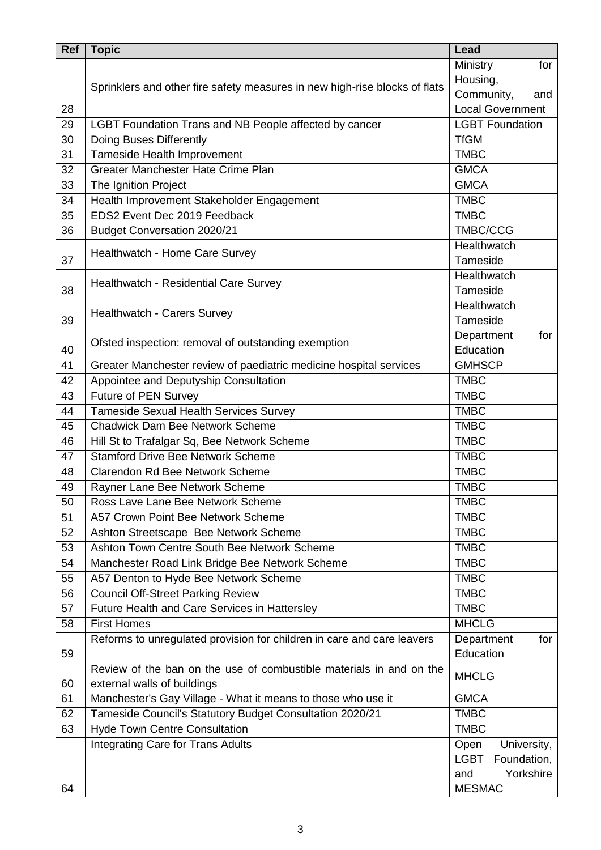| <b>Ref</b> | <b>Topic</b>                                                               | Lead                       |
|------------|----------------------------------------------------------------------------|----------------------------|
|            |                                                                            | Ministry<br>for            |
|            | Sprinklers and other fire safety measures in new high-rise blocks of flats | Housing,                   |
|            |                                                                            | Community,<br>and          |
| 28         |                                                                            | <b>Local Government</b>    |
| 29         | LGBT Foundation Trans and NB People affected by cancer                     | <b>LGBT</b> Foundation     |
| 30         | Doing Buses Differently                                                    | <b>TfGM</b>                |
| 31         | <b>Tameside Health Improvement</b>                                         | <b>TMBC</b>                |
| 32         | Greater Manchester Hate Crime Plan                                         | <b>GMCA</b>                |
| 33         | The Ignition Project                                                       | <b>GMCA</b>                |
| 34         | Health Improvement Stakeholder Engagement                                  | <b>TMBC</b>                |
| 35         | EDS2 Event Dec 2019 Feedback                                               | <b>TMBC</b>                |
| 36         | <b>Budget Conversation 2020/21</b>                                         | <b>TMBC/CCG</b>            |
|            |                                                                            | Healthwatch                |
| 37         | Healthwatch - Home Care Survey                                             | Tameside                   |
|            |                                                                            | Healthwatch                |
| 38         | Healthwatch - Residential Care Survey                                      | Tameside                   |
|            |                                                                            | Healthwatch                |
| 39         | <b>Healthwatch - Carers Survey</b>                                         | Tameside                   |
|            |                                                                            | Department<br>for          |
| 40         | Ofsted inspection: removal of outstanding exemption                        | Education                  |
| 41         | Greater Manchester review of paediatric medicine hospital services         | <b>GMHSCP</b>              |
| 42         | Appointee and Deputyship Consultation                                      | <b>TMBC</b>                |
| 43         | <b>Future of PEN Survey</b>                                                | <b>TMBC</b>                |
| 44         | Tameside Sexual Health Services Survey                                     | <b>TMBC</b>                |
| 45         | <b>Chadwick Dam Bee Network Scheme</b>                                     | <b>TMBC</b>                |
| 46         | Hill St to Trafalgar Sq, Bee Network Scheme                                | <b>TMBC</b>                |
| 47         | <b>Stamford Drive Bee Network Scheme</b>                                   | <b>TMBC</b>                |
| 48         | Clarendon Rd Bee Network Scheme                                            | <b>TMBC</b>                |
| 49         | Rayner Lane Bee Network Scheme                                             | <b>TMBC</b>                |
| 50         | Ross Lave Lane Bee Network Scheme                                          | <b>TMBC</b>                |
| 51         | A57 Crown Point Bee Network Scheme                                         | <b>TMBC</b>                |
| 52         | Ashton Streetscape Bee Network Scheme                                      | <b>TMBC</b>                |
| 53         | Ashton Town Centre South Bee Network Scheme                                | <b>TMBC</b>                |
| 54         | Manchester Road Link Bridge Bee Network Scheme                             | <b>TMBC</b>                |
| 55         | A57 Denton to Hyde Bee Network Scheme                                      | <b>TMBC</b>                |
| 56         | <b>Council Off-Street Parking Review</b>                                   | <b>TMBC</b>                |
| 57         | Future Health and Care Services in Hattersley                              | <b>TMBC</b>                |
| 58         | <b>First Homes</b>                                                         | <b>MHCLG</b>               |
|            | Reforms to unregulated provision for children in care and care leavers     | Department<br>for          |
| 59         |                                                                            | Education                  |
|            | Review of the ban on the use of combustible materials in and on the        |                            |
| 60         | external walls of buildings                                                | <b>MHCLG</b>               |
| 61         | Manchester's Gay Village - What it means to those who use it               | <b>GMCA</b>                |
| 62         | Tameside Council's Statutory Budget Consultation 2020/21                   | <b>TMBC</b>                |
| 63         | <b>Hyde Town Centre Consultation</b>                                       | <b>TMBC</b>                |
|            | Integrating Care for Trans Adults                                          | Open<br>University,        |
|            |                                                                            | <b>LGBT</b><br>Foundation, |
|            |                                                                            | Yorkshire<br>and           |
| 64         |                                                                            | <b>MESMAC</b>              |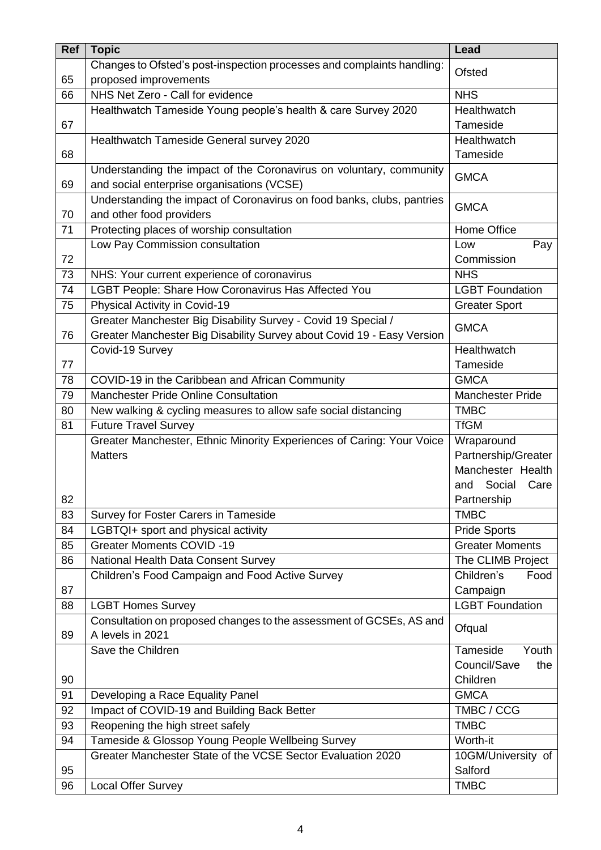| <b>Ref</b> | <b>Topic</b>                                                                                                    | Lead                              |
|------------|-----------------------------------------------------------------------------------------------------------------|-----------------------------------|
|            | Changes to Ofsted's post-inspection processes and complaints handling:                                          | <b>Ofsted</b>                     |
| 65         | proposed improvements                                                                                           |                                   |
| 66         | NHS Net Zero - Call for evidence                                                                                | <b>NHS</b>                        |
|            | Healthwatch Tameside Young people's health & care Survey 2020                                                   | Healthwatch                       |
| 67         |                                                                                                                 | Tameside                          |
|            | Healthwatch Tameside General survey 2020                                                                        | <b>Healthwatch</b>                |
| 68         |                                                                                                                 | Tameside                          |
|            | Understanding the impact of the Coronavirus on voluntary, community                                             | <b>GMCA</b>                       |
| 69         | and social enterprise organisations (VCSE)                                                                      |                                   |
|            | Understanding the impact of Coronavirus on food banks, clubs, pantries                                          | <b>GMCA</b>                       |
| 70         | and other food providers                                                                                        |                                   |
| 71         | Protecting places of worship consultation                                                                       | Home Office                       |
|            | Low Pay Commission consultation                                                                                 | Pay<br>Low                        |
| 72         |                                                                                                                 | Commission                        |
| 73         | NHS: Your current experience of coronavirus                                                                     | <b>NHS</b>                        |
| 74         | LGBT People: Share How Coronavirus Has Affected You                                                             | <b>LGBT Foundation</b>            |
| 75         | Physical Activity in Covid-19                                                                                   | <b>Greater Sport</b>              |
|            | Greater Manchester Big Disability Survey - Covid 19 Special /                                                   | <b>GMCA</b>                       |
| 76         | Greater Manchester Big Disability Survey about Covid 19 - Easy Version                                          |                                   |
|            | Covid-19 Survey                                                                                                 | Healthwatch                       |
| 77         |                                                                                                                 | Tameside                          |
| 78         | COVID-19 in the Caribbean and African Community                                                                 | <b>GMCA</b>                       |
| 79         | Manchester Pride Online Consultation                                                                            | Manchester Pride                  |
| 80         | New walking & cycling measures to allow safe social distancing                                                  | <b>TMBC</b>                       |
| 81         | <b>Future Travel Survey</b>                                                                                     | <b>TfGM</b>                       |
|            | Greater Manchester, Ethnic Minority Experiences of Caring: Your Voice                                           | Wraparound                        |
|            | <b>Matters</b>                                                                                                  | Partnership/Greater               |
|            |                                                                                                                 | Manchester Health                 |
|            |                                                                                                                 | Social Care<br>and                |
| 82         |                                                                                                                 | Partnership                       |
| 83         | Survey for Foster Carers in Tameside                                                                            | <b>TMBC</b>                       |
| 84         | LGBTQI+ sport and physical activity                                                                             | <b>Pride Sports</b>               |
| 85         | <b>Greater Moments COVID -19</b>                                                                                | <b>Greater Moments</b>            |
| 86         | National Health Data Consent Survey                                                                             | The CLIMB Project                 |
|            | Children's Food Campaign and Food Active Survey                                                                 | Children's<br>Food                |
| 87         |                                                                                                                 | Campaign                          |
| 88         | <b>LGBT Homes Survey</b>                                                                                        | <b>LGBT Foundation</b>            |
|            | Consultation on proposed changes to the assessment of GCSEs, AS and<br>A levels in 2021                         | Ofqual                            |
| 89         |                                                                                                                 |                                   |
|            | Save the Children                                                                                               | Youth<br>Tameside<br>Council/Save |
| 90         |                                                                                                                 | the<br>Children                   |
|            |                                                                                                                 | <b>GMCA</b>                       |
| 91<br>92   | Developing a Race Equality Panel<br>Impact of COVID-19 and Building Back Better                                 | TMBC / CCG                        |
| 93         |                                                                                                                 | <b>TMBC</b>                       |
| 94         | Reopening the high street safely                                                                                | Worth-it                          |
|            | Tameside & Glossop Young People Wellbeing Survey<br>Greater Manchester State of the VCSE Sector Evaluation 2020 |                                   |
| 95         |                                                                                                                 | 10GM/University of<br>Salford     |
|            |                                                                                                                 |                                   |
| 96         | <b>Local Offer Survey</b>                                                                                       | <b>TMBC</b>                       |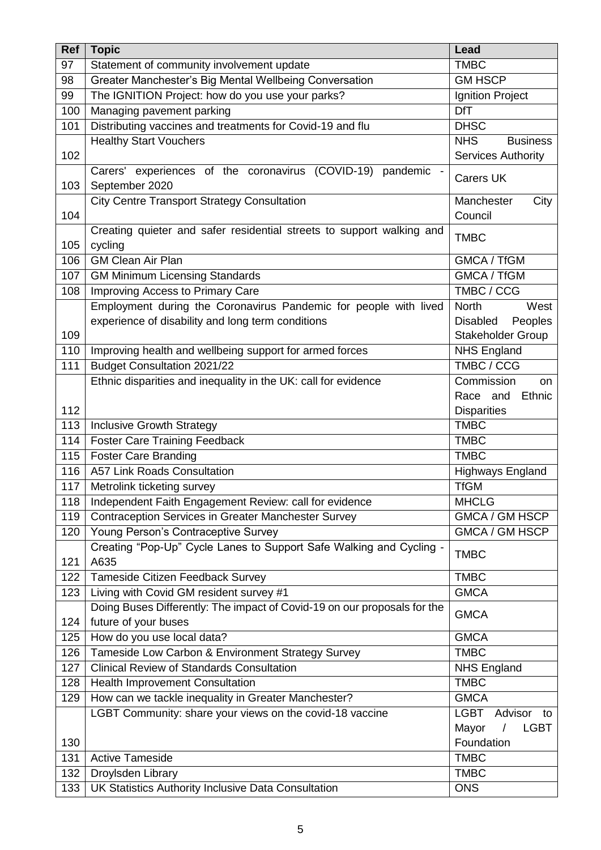| <b>Ref</b> | <b>Topic</b>                                                                     | Lead                          |
|------------|----------------------------------------------------------------------------------|-------------------------------|
| 97         | Statement of community involvement update                                        | <b>TMBC</b>                   |
| 98         | Greater Manchester's Big Mental Wellbeing Conversation                           | <b>GM HSCP</b>                |
| 99         | The IGNITION Project: how do you use your parks?                                 | Ignition Project              |
| 100        | Managing pavement parking                                                        | <b>DfT</b>                    |
| 101        | Distributing vaccines and treatments for Covid-19 and flu                        | <b>DHSC</b>                   |
|            | <b>Healthy Start Vouchers</b>                                                    | <b>NHS</b><br><b>Business</b> |
| 102        |                                                                                  | <b>Services Authority</b>     |
| 103        | Carers' experiences of the coronavirus (COVID-19) pandemic<br>September 2020     | <b>Carers UK</b>              |
|            | <b>City Centre Transport Strategy Consultation</b>                               | Manchester<br>City            |
| 104        |                                                                                  | Council                       |
| 105        | Creating quieter and safer residential streets to support walking and<br>cycling | <b>TMBC</b>                   |
| 106        | <b>GM Clean Air Plan</b>                                                         | GMCA / TfGM                   |
| 107        | <b>GM Minimum Licensing Standards</b>                                            | GMCA / TfGM                   |
| 108        | Improving Access to Primary Care                                                 | TMBC / CCG                    |
|            | Employment during the Coronavirus Pandemic for people with lived                 | West<br><b>North</b>          |
|            | experience of disability and long term conditions                                | <b>Disabled</b><br>Peoples    |
| 109        |                                                                                  | Stakeholder Group             |
| 110        | Improving health and wellbeing support for armed forces                          | <b>NHS England</b>            |
| 111        | <b>Budget Consultation 2021/22</b>                                               | <b>TMBC/CCG</b>               |
|            | Ethnic disparities and inequality in the UK: call for evidence                   | Commission<br>on              |
|            |                                                                                  | Ethnic<br>Race and            |
| 112        |                                                                                  | <b>Disparities</b>            |
| 113        | Inclusive Growth Strategy                                                        | <b>TMBC</b>                   |
| 114        | <b>Foster Care Training Feedback</b>                                             | <b>TMBC</b>                   |
| 115        | <b>Foster Care Branding</b>                                                      | <b>TMBC</b>                   |
| 116        | A57 Link Roads Consultation                                                      | Highways England              |
| 117        | Metrolink ticketing survey                                                       | <b>TfGM</b>                   |
| 118        | Independent Faith Engagement Review: call for evidence                           | <b>MHCLG</b>                  |
| 119        | <b>Contraception Services in Greater Manchester Survey</b>                       | GMCA / GM HSCP                |
| 120        | Young Person's Contraceptive Survey                                              | GMCA / GM HSCP                |
| 121        | Creating "Pop-Up" Cycle Lanes to Support Safe Walking and Cycling -<br>A635      | <b>TMBC</b>                   |
| 122        | Tameside Citizen Feedback Survey                                                 | <b>TMBC</b>                   |
| 123        | Living with Covid GM resident survey #1                                          | <b>GMCA</b>                   |
|            | Doing Buses Differently: The impact of Covid-19 on our proposals for the         | <b>GMCA</b>                   |
| 124        | future of your buses                                                             |                               |
| 125        | How do you use local data?                                                       | <b>GMCA</b>                   |
| 126        | Tameside Low Carbon & Environment Strategy Survey                                | <b>TMBC</b>                   |
| 127        | <b>Clinical Review of Standards Consultation</b>                                 | <b>NHS England</b>            |
| 128        | <b>Health Improvement Consultation</b>                                           | <b>TMBC</b>                   |
| 129        | How can we tackle inequality in Greater Manchester?                              | <b>GMCA</b>                   |
|            | LGBT Community: share your views on the covid-18 vaccine                         | <b>LGBT</b><br>Advisor to     |
|            |                                                                                  | Mayor<br><b>LGBT</b>          |
| 130        |                                                                                  | Foundation                    |
| 131        | <b>Active Tameside</b>                                                           | <b>TMBC</b>                   |
| 132        | Droylsden Library                                                                | <b>TMBC</b>                   |
| 133        | UK Statistics Authority Inclusive Data Consultation                              | <b>ONS</b>                    |